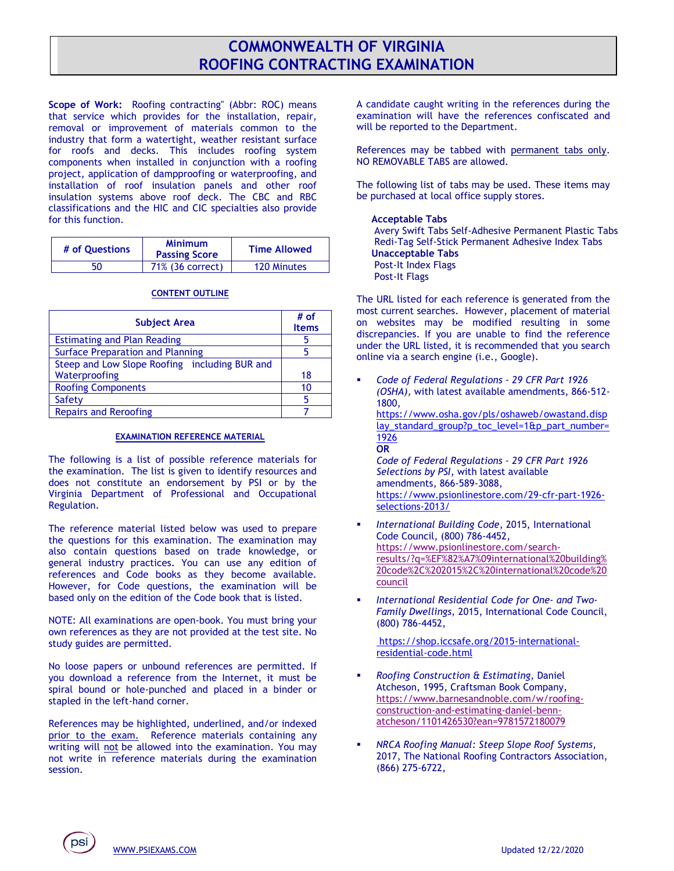## **COMMONWEALTH OF VIRGINIA ROOFING CONTRACTING EXAMINATION**

**Scope of Work:** Roofing contracting" (Abbr: ROC) means that service which provides for the installation, repair, removal or improvement of materials common to the industry that form a watertight, weather resistant surface for roofs and decks. This includes roofing system components when installed in conjunction with a roofing project, application of dampproofing or waterproofing, and installation of roof insulation panels and other roof insulation systems above roof deck. The CBC and RBC classifications and the HIC and CIC specialties also provide for this function.

| # of Ouestions | <b>Minimum</b><br><b>Passing Score</b> | <b>Time Allowed</b> |
|----------------|----------------------------------------|---------------------|
| 50             | 71% (36 correct)                       | 120 Minutes         |

## **CONTENT OUTLINE**

| <b>Subject Area</b>                           | # of<br><b>Items</b> |
|-----------------------------------------------|----------------------|
| <b>Estimating and Plan Reading</b>            | h                    |
| <b>Surface Preparation and Planning</b>       |                      |
| Steep and Low Slope Roofing including BUR and |                      |
| Waterproofing                                 | 18                   |
| <b>Roofing Components</b>                     | 10                   |
| Safety                                        | 5                    |
| <b>Repairs and Reroofing</b>                  |                      |

## **EXAMINATION REFERENCE MATERIAL**

The following is a list of possible reference materials for the examination. The list is given to identify resources and does not constitute an endorsement by PSI or by the Virginia Department of Professional and Occupational Regulation.

The reference material listed below was used to prepare the questions for this examination. The examination may also contain questions based on trade knowledge, or general industry practices. You can use any edition of references and Code books as they become available. However, for Code questions, the examination will be based only on the edition of the Code book that is listed.

NOTE: All examinations are open-book. You must bring your own references as they are not provided at the test site. No study guides are permitted.

No loose papers or unbound references are permitted. If you download a reference from the Internet, it must be spiral bound or hole-punched and placed in a binder or stapled in the left-hand corner.

References may be highlighted, underlined, and/or indexed prior to the exam. Reference materials containing any writing will not be allowed into the examination. You may not write in reference materials during the examination session.

A candidate caught writing in the references during the examination will have the references confiscated and will be reported to the Department.

References may be tabbed with permanent tabs only. NO REMOVABLE TABS are allowed.

The following list of tabs may be used. These items may be purchased at local office supply stores.

## **Acceptable Tabs**

Avery Swift Tabs Self-Adhesive Permanent Plastic Tabs Redi-Tag Self-Stick Permanent Adhesive Index Tabs **Unacceptable Tabs**  Post-It Index Flags Post-It Flags

The URL listed for each reference is generated from the most current searches. However, placement of material on websites may be modified resulting in some discrepancies. If you are unable to find the reference under the URL listed, it is recommended that you search online via a search engine (i.e., Google).

▪ *Code of Federal Regulations - 29 CFR Part 1926 (OSHA),* with latest available amendments, 866-512- 1800, [https://www.osha.gov/pls/oshaweb/owastand.disp](https://www.osha.gov/pls/oshaweb/owastand.display_standard_group?p_toc_level=1&p_part_number=1926) lay standard group?p\_toc\_level=1&p\_part\_number= [1926](https://www.osha.gov/pls/oshaweb/owastand.display_standard_group?p_toc_level=1&p_part_number=1926) **OR** *Code of Federal Regulations - 29 CFR Part 1926 Selections by PSI*, with latest available amendments, 866-589-3088,

[https://www.psionlinestore.com/29-cfr-part-1926](https://www.psionlinestore.com/29-cfr-part-1926-selections-2013/) [selections-2013/](https://www.psionlinestore.com/29-cfr-part-1926-selections-2013/)

- International Building Code, 2015, International Code Council, (800) 786-4452, [https://www.psionlinestore.com/search](https://www.psionlinestore.com/search-results/?q=%EF%82%A7%09international%20building%20code%2C%202015%2C%20international%20code%20council)[results/?q=%EF%82%A7%09international%20building%](https://www.psionlinestore.com/search-results/?q=%EF%82%A7%09international%20building%20code%2C%202015%2C%20international%20code%20council) [20code%2C%202015%2C%20international%20code%20](https://www.psionlinestore.com/search-results/?q=%EF%82%A7%09international%20building%20code%2C%202015%2C%20international%20code%20council) [council](https://www.psionlinestore.com/search-results/?q=%EF%82%A7%09international%20building%20code%2C%202015%2C%20international%20code%20council)
- *International Residential Code for One- and Two-Family Dwellings,* 2015, International Code Council, (800) 786-4452,

[https://shop.iccsafe.org/2015-international](https://shop.iccsafe.org/2015-international-residential-code.html)[residential-code.html](https://shop.iccsafe.org/2015-international-residential-code.html) 

- *Roofing Construction & Estimating*, Daniel Atcheson, 1995, Craftsman Book Company, [https://www.barnesandnoble.com/w/roofing](https://www.barnesandnoble.com/w/roofing-construction-and-estimating-daniel-benn-atcheson/1101426530?ean=9781572180079)[construction-and-estimating-daniel-benn](https://www.barnesandnoble.com/w/roofing-construction-and-estimating-daniel-benn-atcheson/1101426530?ean=9781572180079)[atcheson/1101426530?ean=9781572180079](https://www.barnesandnoble.com/w/roofing-construction-and-estimating-daniel-benn-atcheson/1101426530?ean=9781572180079)
- *NRCA Roofing Manual: Steep Slope Roof Systems*, 2017, The National Roofing Contractors Association, (866) 275-6722,